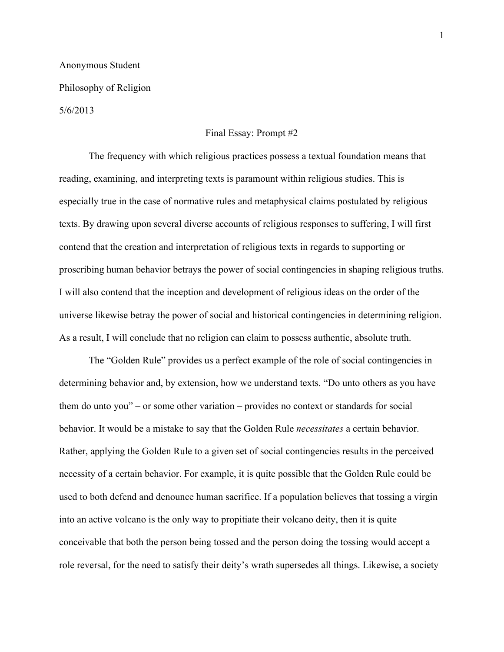## Anonymous Student Philosophy of Religion

5/6/2013

## Final Essay: Prompt #2

The frequency with which religious practices possess a textual foundation means that reading, examining, and interpreting texts is paramount within religious studies. This is especially true in the case of normative rules and metaphysical claims postulated by religious texts. By drawing upon several diverse accounts of religious responses to suffering, I will first contend that the creation and interpretation of religious texts in regards to supporting or proscribing human behavior betrays the power of social contingencies in shaping religious truths. I will also contend that the inception and development of religious ideas on the order of the universe likewise betray the power of social and historical contingencies in determining religion. As a result, I will conclude that no religion can claim to possess authentic, absolute truth.

The "Golden Rule" provides us a perfect example of the role of social contingencies in determining behavior and, by extension, how we understand texts. "Do unto others as you have them do unto you" – or some other variation – provides no context or standards for social behavior. It would be a mistake to say that the Golden Rule *necessitates* a certain behavior. Rather, applying the Golden Rule to a given set of social contingencies results in the perceived necessity of a certain behavior. For example, it is quite possible that the Golden Rule could be used to both defend and denounce human sacrifice. If a population believes that tossing a virgin into an active volcano is the only way to propitiate their volcano deity, then it is quite conceivable that both the person being tossed and the person doing the tossing would accept a role reversal, for the need to satisfy their deity's wrath supersedes all things. Likewise, a society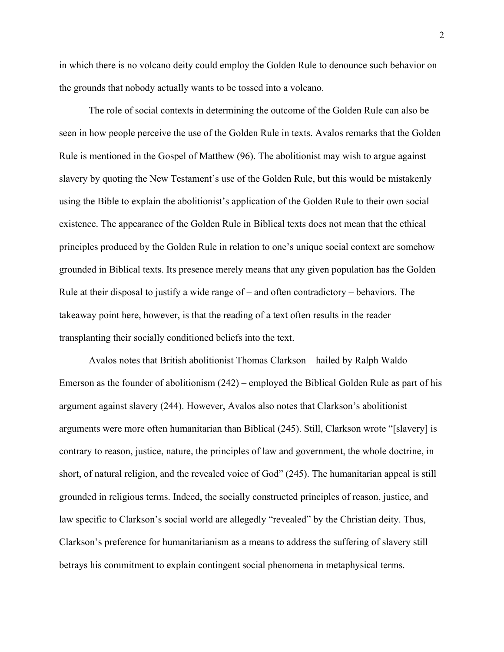in which there is no volcano deity could employ the Golden Rule to denounce such behavior on the grounds that nobody actually wants to be tossed into a volcano.

The role of social contexts in determining the outcome of the Golden Rule can also be seen in how people perceive the use of the Golden Rule in texts. Avalos remarks that the Golden Rule is mentioned in the Gospel of Matthew (96). The abolitionist may wish to argue against slavery by quoting the New Testament's use of the Golden Rule, but this would be mistakenly using the Bible to explain the abolitionist's application of the Golden Rule to their own social existence. The appearance of the Golden Rule in Biblical texts does not mean that the ethical principles produced by the Golden Rule in relation to one's unique social context are somehow grounded in Biblical texts. Its presence merely means that any given population has the Golden Rule at their disposal to justify a wide range of – and often contradictory – behaviors. The takeaway point here, however, is that the reading of a text often results in the reader transplanting their socially conditioned beliefs into the text.

Avalos notes that British abolitionist Thomas Clarkson – hailed by Ralph Waldo Emerson as the founder of abolitionism (242) – employed the Biblical Golden Rule as part of his argument against slavery (244). However, Avalos also notes that Clarkson's abolitionist arguments were more often humanitarian than Biblical (245). Still, Clarkson wrote "[slavery] is contrary to reason, justice, nature, the principles of law and government, the whole doctrine, in short, of natural religion, and the revealed voice of God" (245). The humanitarian appeal is still grounded in religious terms. Indeed, the socially constructed principles of reason, justice, and law specific to Clarkson's social world are allegedly "revealed" by the Christian deity. Thus, Clarkson's preference for humanitarianism as a means to address the suffering of slavery still betrays his commitment to explain contingent social phenomena in metaphysical terms.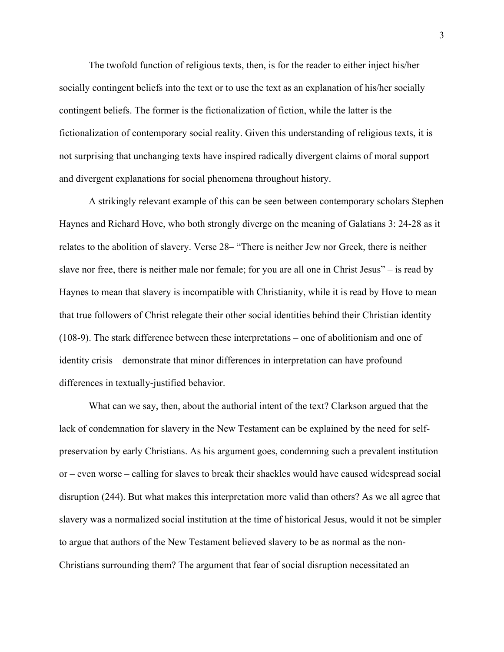The twofold function of religious texts, then, is for the reader to either inject his/her socially contingent beliefs into the text or to use the text as an explanation of his/her socially contingent beliefs. The former is the fictionalization of fiction, while the latter is the fictionalization of contemporary social reality. Given this understanding of religious texts, it is not surprising that unchanging texts have inspired radically divergent claims of moral support and divergent explanations for social phenomena throughout history.

A strikingly relevant example of this can be seen between contemporary scholars Stephen Haynes and Richard Hove, who both strongly diverge on the meaning of Galatians 3: 24-28 as it relates to the abolition of slavery. Verse 28– "There is neither Jew nor Greek, there is neither slave nor free, there is neither male nor female; for you are all one in Christ Jesus" – is read by Haynes to mean that slavery is incompatible with Christianity, while it is read by Hove to mean that true followers of Christ relegate their other social identities behind their Christian identity (108-9). The stark difference between these interpretations – one of abolitionism and one of identity crisis – demonstrate that minor differences in interpretation can have profound differences in textually-justified behavior.

What can we say, then, about the authorial intent of the text? Clarkson argued that the lack of condemnation for slavery in the New Testament can be explained by the need for selfpreservation by early Christians. As his argument goes, condemning such a prevalent institution or – even worse – calling for slaves to break their shackles would have caused widespread social disruption (244). But what makes this interpretation more valid than others? As we all agree that slavery was a normalized social institution at the time of historical Jesus, would it not be simpler to argue that authors of the New Testament believed slavery to be as normal as the non-Christians surrounding them? The argument that fear of social disruption necessitated an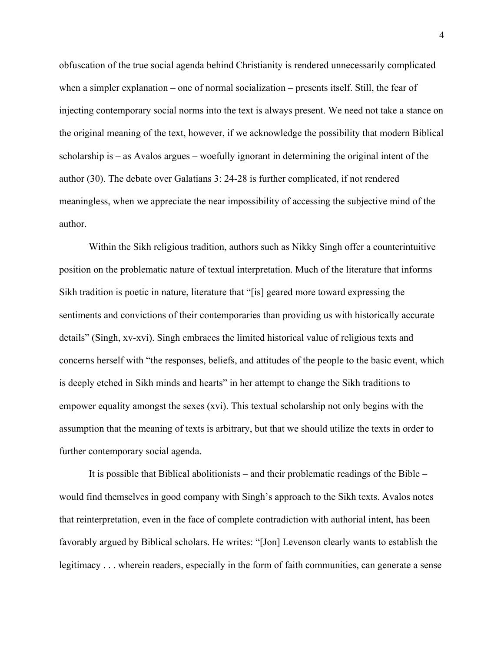obfuscation of the true social agenda behind Christianity is rendered unnecessarily complicated when a simpler explanation – one of normal socialization – presents itself. Still, the fear of injecting contemporary social norms into the text is always present. We need not take a stance on the original meaning of the text, however, if we acknowledge the possibility that modern Biblical scholarship is – as Avalos argues – woefully ignorant in determining the original intent of the author (30). The debate over Galatians 3: 24-28 is further complicated, if not rendered meaningless, when we appreciate the near impossibility of accessing the subjective mind of the author.

Within the Sikh religious tradition, authors such as Nikky Singh offer a counterintuitive position on the problematic nature of textual interpretation. Much of the literature that informs Sikh tradition is poetic in nature, literature that "[is] geared more toward expressing the sentiments and convictions of their contemporaries than providing us with historically accurate details" (Singh, xv-xvi). Singh embraces the limited historical value of religious texts and concerns herself with "the responses, beliefs, and attitudes of the people to the basic event, which is deeply etched in Sikh minds and hearts" in her attempt to change the Sikh traditions to empower equality amongst the sexes (xvi). This textual scholarship not only begins with the assumption that the meaning of texts is arbitrary, but that we should utilize the texts in order to further contemporary social agenda.

It is possible that Biblical abolitionists – and their problematic readings of the Bible – would find themselves in good company with Singh's approach to the Sikh texts. Avalos notes that reinterpretation, even in the face of complete contradiction with authorial intent, has been favorably argued by Biblical scholars. He writes: "[Jon] Levenson clearly wants to establish the legitimacy . . . wherein readers, especially in the form of faith communities, can generate a sense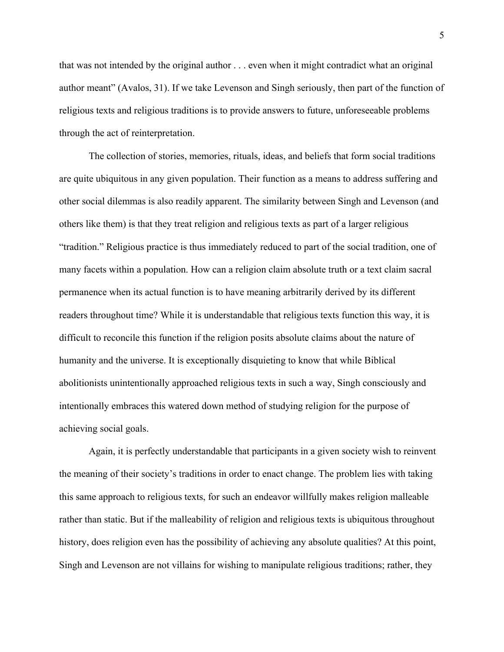that was not intended by the original author . . . even when it might contradict what an original author meant" (Avalos, 31). If we take Levenson and Singh seriously, then part of the function of religious texts and religious traditions is to provide answers to future, unforeseeable problems through the act of reinterpretation.

The collection of stories, memories, rituals, ideas, and beliefs that form social traditions are quite ubiquitous in any given population. Their function as a means to address suffering and other social dilemmas is also readily apparent. The similarity between Singh and Levenson (and others like them) is that they treat religion and religious texts as part of a larger religious "tradition." Religious practice is thus immediately reduced to part of the social tradition, one of many facets within a population. How can a religion claim absolute truth or a text claim sacral permanence when its actual function is to have meaning arbitrarily derived by its different readers throughout time? While it is understandable that religious texts function this way, it is difficult to reconcile this function if the religion posits absolute claims about the nature of humanity and the universe. It is exceptionally disquieting to know that while Biblical abolitionists unintentionally approached religious texts in such a way, Singh consciously and intentionally embraces this watered down method of studying religion for the purpose of achieving social goals.

Again, it is perfectly understandable that participants in a given society wish to reinvent the meaning of their society's traditions in order to enact change. The problem lies with taking this same approach to religious texts, for such an endeavor willfully makes religion malleable rather than static. But if the malleability of religion and religious texts is ubiquitous throughout history, does religion even has the possibility of achieving any absolute qualities? At this point, Singh and Levenson are not villains for wishing to manipulate religious traditions; rather, they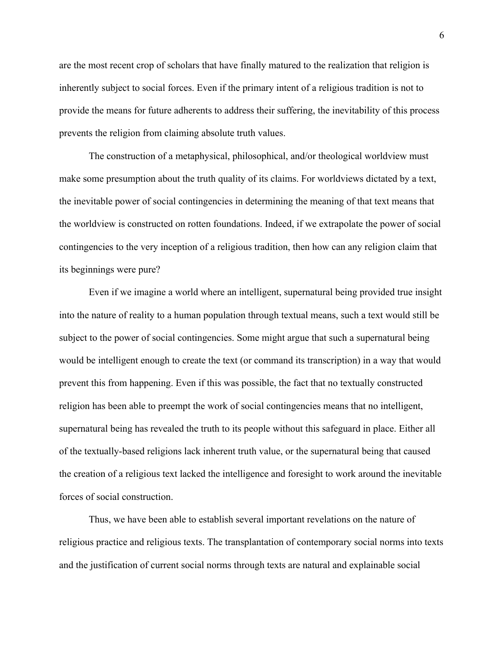are the most recent crop of scholars that have finally matured to the realization that religion is inherently subject to social forces. Even if the primary intent of a religious tradition is not to provide the means for future adherents to address their suffering, the inevitability of this process prevents the religion from claiming absolute truth values.

The construction of a metaphysical, philosophical, and/or theological worldview must make some presumption about the truth quality of its claims. For worldviews dictated by a text, the inevitable power of social contingencies in determining the meaning of that text means that the worldview is constructed on rotten foundations. Indeed, if we extrapolate the power of social contingencies to the very inception of a religious tradition, then how can any religion claim that its beginnings were pure?

Even if we imagine a world where an intelligent, supernatural being provided true insight into the nature of reality to a human population through textual means, such a text would still be subject to the power of social contingencies. Some might argue that such a supernatural being would be intelligent enough to create the text (or command its transcription) in a way that would prevent this from happening. Even if this was possible, the fact that no textually constructed religion has been able to preempt the work of social contingencies means that no intelligent, supernatural being has revealed the truth to its people without this safeguard in place. Either all of the textually-based religions lack inherent truth value, or the supernatural being that caused the creation of a religious text lacked the intelligence and foresight to work around the inevitable forces of social construction.

Thus, we have been able to establish several important revelations on the nature of religious practice and religious texts. The transplantation of contemporary social norms into texts and the justification of current social norms through texts are natural and explainable social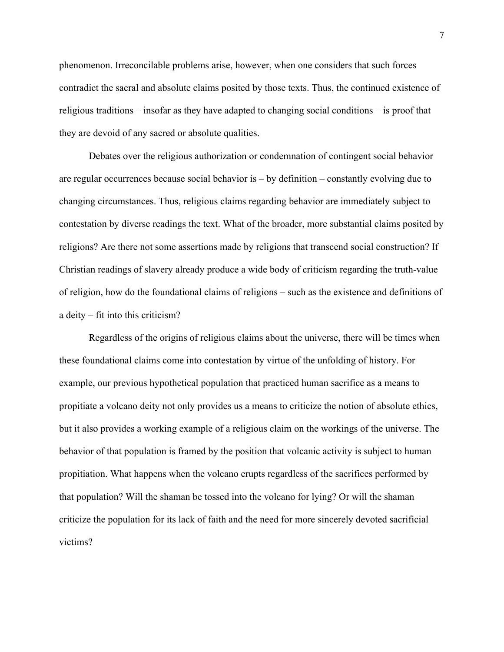phenomenon. Irreconcilable problems arise, however, when one considers that such forces contradict the sacral and absolute claims posited by those texts. Thus, the continued existence of religious traditions – insofar as they have adapted to changing social conditions – is proof that they are devoid of any sacred or absolute qualities.

Debates over the religious authorization or condemnation of contingent social behavior are regular occurrences because social behavior is – by definition – constantly evolving due to changing circumstances. Thus, religious claims regarding behavior are immediately subject to contestation by diverse readings the text. What of the broader, more substantial claims posited by religions? Are there not some assertions made by religions that transcend social construction? If Christian readings of slavery already produce a wide body of criticism regarding the truth-value of religion, how do the foundational claims of religions – such as the existence and definitions of a deity – fit into this criticism?

Regardless of the origins of religious claims about the universe, there will be times when these foundational claims come into contestation by virtue of the unfolding of history. For example, our previous hypothetical population that practiced human sacrifice as a means to propitiate a volcano deity not only provides us a means to criticize the notion of absolute ethics, but it also provides a working example of a religious claim on the workings of the universe. The behavior of that population is framed by the position that volcanic activity is subject to human propitiation. What happens when the volcano erupts regardless of the sacrifices performed by that population? Will the shaman be tossed into the volcano for lying? Or will the shaman criticize the population for its lack of faith and the need for more sincerely devoted sacrificial victims?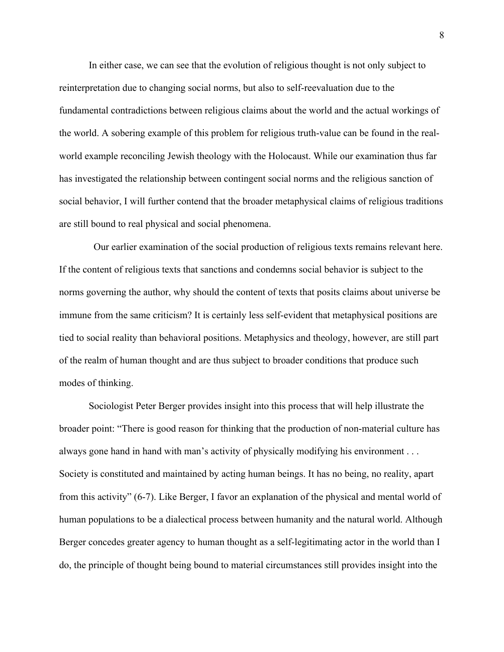In either case, we can see that the evolution of religious thought is not only subject to reinterpretation due to changing social norms, but also to self-reevaluation due to the fundamental contradictions between religious claims about the world and the actual workings of the world. A sobering example of this problem for religious truth-value can be found in the realworld example reconciling Jewish theology with the Holocaust. While our examination thus far has investigated the relationship between contingent social norms and the religious sanction of social behavior, I will further contend that the broader metaphysical claims of religious traditions are still bound to real physical and social phenomena.

 Our earlier examination of the social production of religious texts remains relevant here. If the content of religious texts that sanctions and condemns social behavior is subject to the norms governing the author, why should the content of texts that posits claims about universe be immune from the same criticism? It is certainly less self-evident that metaphysical positions are tied to social reality than behavioral positions. Metaphysics and theology, however, are still part of the realm of human thought and are thus subject to broader conditions that produce such modes of thinking.

Sociologist Peter Berger provides insight into this process that will help illustrate the broader point: "There is good reason for thinking that the production of non-material culture has always gone hand in hand with man's activity of physically modifying his environment . . . Society is constituted and maintained by acting human beings. It has no being, no reality, apart from this activity" (6-7). Like Berger, I favor an explanation of the physical and mental world of human populations to be a dialectical process between humanity and the natural world. Although Berger concedes greater agency to human thought as a self-legitimating actor in the world than I do, the principle of thought being bound to material circumstances still provides insight into the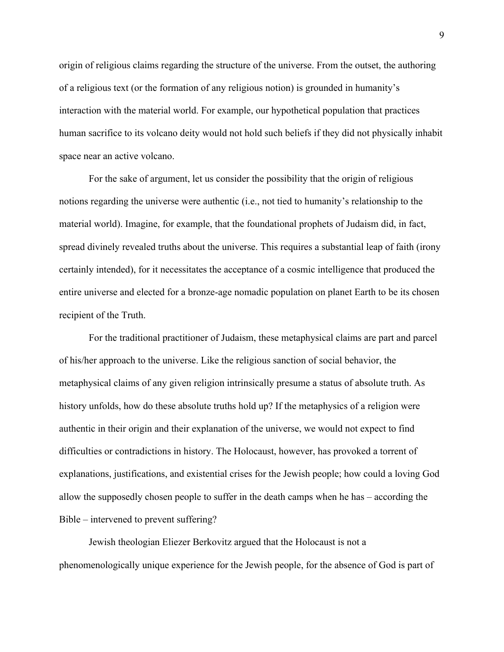origin of religious claims regarding the structure of the universe. From the outset, the authoring of a religious text (or the formation of any religious notion) is grounded in humanity's interaction with the material world. For example, our hypothetical population that practices human sacrifice to its volcano deity would not hold such beliefs if they did not physically inhabit space near an active volcano.

For the sake of argument, let us consider the possibility that the origin of religious notions regarding the universe were authentic (i.e., not tied to humanity's relationship to the material world). Imagine, for example, that the foundational prophets of Judaism did, in fact, spread divinely revealed truths about the universe. This requires a substantial leap of faith (irony certainly intended), for it necessitates the acceptance of a cosmic intelligence that produced the entire universe and elected for a bronze-age nomadic population on planet Earth to be its chosen recipient of the Truth.

For the traditional practitioner of Judaism, these metaphysical claims are part and parcel of his/her approach to the universe. Like the religious sanction of social behavior, the metaphysical claims of any given religion intrinsically presume a status of absolute truth. As history unfolds, how do these absolute truths hold up? If the metaphysics of a religion were authentic in their origin and their explanation of the universe, we would not expect to find difficulties or contradictions in history. The Holocaust, however, has provoked a torrent of explanations, justifications, and existential crises for the Jewish people; how could a loving God allow the supposedly chosen people to suffer in the death camps when he has – according the Bible – intervened to prevent suffering?

Jewish theologian Eliezer Berkovitz argued that the Holocaust is not a phenomenologically unique experience for the Jewish people, for the absence of God is part of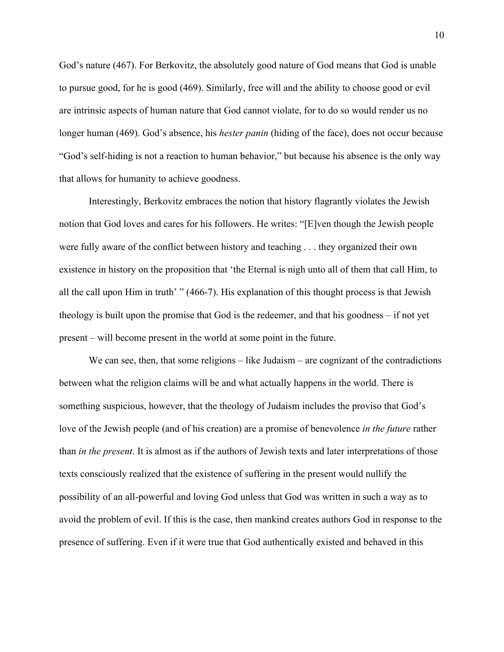God's nature (467). For Berkovitz, the absolutely good nature of God means that God is unable to pursue good, for he is good (469). Similarly, free will and the ability to choose good or evil are intrinsic aspects of human nature that God cannot violate, for to do so would render us no longer human (469). God's absence, his *hester panin* (hiding of the face), does not occur because "God's self-hiding is not a reaction to human behavior," but because his absence is the only way that allows for humanity to achieve goodness.

Interestingly, Berkovitz embraces the notion that history flagrantly violates the Jewish notion that God loves and cares for his followers. He writes: "[E]ven though the Jewish people were fully aware of the conflict between history and teaching . . . they organized their own existence in history on the proposition that 'the Eternal is nigh unto all of them that call Him, to all the call upon Him in truth' " (466-7). His explanation of this thought process is that Jewish theology is built upon the promise that God is the redeemer, and that his goodness – if not yet present – will become present in the world at some point in the future.

We can see, then, that some religions – like Judaism – are cognizant of the contradictions between what the religion claims will be and what actually happens in the world. There is something suspicious, however, that the theology of Judaism includes the proviso that God's love of the Jewish people (and of his creation) are a promise of benevolence *in the future* rather than *in the present*. It is almost as if the authors of Jewish texts and later interpretations of those texts consciously realized that the existence of suffering in the present would nullify the possibility of an all-powerful and loving God unless that God was written in such a way as to avoid the problem of evil. If this is the case, then mankind creates authors God in response to the presence of suffering. Even if it were true that God authentically existed and behaved in this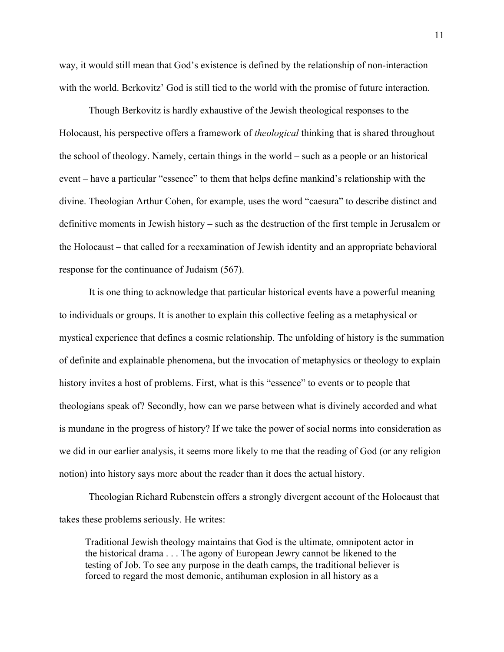way, it would still mean that God's existence is defined by the relationship of non-interaction with the world. Berkovitz' God is still tied to the world with the promise of future interaction.

Though Berkovitz is hardly exhaustive of the Jewish theological responses to the Holocaust, his perspective offers a framework of *theological* thinking that is shared throughout the school of theology. Namely, certain things in the world – such as a people or an historical event – have a particular "essence" to them that helps define mankind's relationship with the divine. Theologian Arthur Cohen, for example, uses the word "caesura" to describe distinct and definitive moments in Jewish history – such as the destruction of the first temple in Jerusalem or the Holocaust – that called for a reexamination of Jewish identity and an appropriate behavioral response for the continuance of Judaism (567).

It is one thing to acknowledge that particular historical events have a powerful meaning to individuals or groups. It is another to explain this collective feeling as a metaphysical or mystical experience that defines a cosmic relationship. The unfolding of history is the summation of definite and explainable phenomena, but the invocation of metaphysics or theology to explain history invites a host of problems. First, what is this "essence" to events or to people that theologians speak of? Secondly, how can we parse between what is divinely accorded and what is mundane in the progress of history? If we take the power of social norms into consideration as we did in our earlier analysis, it seems more likely to me that the reading of God (or any religion notion) into history says more about the reader than it does the actual history.

Theologian Richard Rubenstein offers a strongly divergent account of the Holocaust that takes these problems seriously. He writes:

Traditional Jewish theology maintains that God is the ultimate, omnipotent actor in the historical drama . . . The agony of European Jewry cannot be likened to the testing of Job. To see any purpose in the death camps, the traditional believer is forced to regard the most demonic, antihuman explosion in all history as a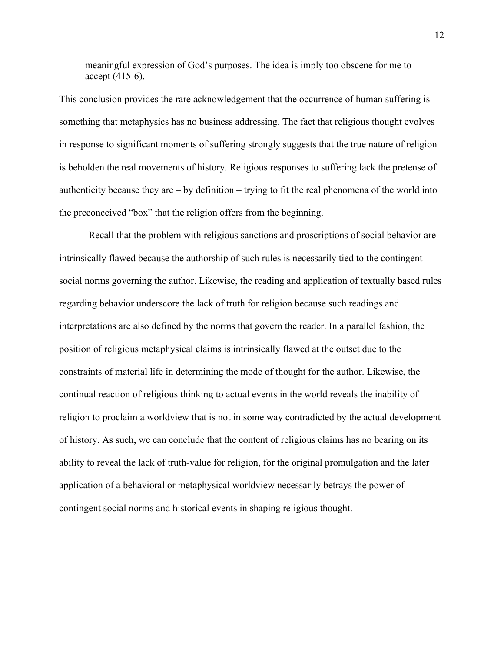meaningful expression of God's purposes. The idea is imply too obscene for me to accept (415-6).

This conclusion provides the rare acknowledgement that the occurrence of human suffering is something that metaphysics has no business addressing. The fact that religious thought evolves in response to significant moments of suffering strongly suggests that the true nature of religion is beholden the real movements of history. Religious responses to suffering lack the pretense of authenticity because they are  $-$  by definition  $-$  trying to fit the real phenomena of the world into the preconceived "box" that the religion offers from the beginning.

Recall that the problem with religious sanctions and proscriptions of social behavior are intrinsically flawed because the authorship of such rules is necessarily tied to the contingent social norms governing the author. Likewise, the reading and application of textually based rules regarding behavior underscore the lack of truth for religion because such readings and interpretations are also defined by the norms that govern the reader. In a parallel fashion, the position of religious metaphysical claims is intrinsically flawed at the outset due to the constraints of material life in determining the mode of thought for the author. Likewise, the continual reaction of religious thinking to actual events in the world reveals the inability of religion to proclaim a worldview that is not in some way contradicted by the actual development of history. As such, we can conclude that the content of religious claims has no bearing on its ability to reveal the lack of truth-value for religion, for the original promulgation and the later application of a behavioral or metaphysical worldview necessarily betrays the power of contingent social norms and historical events in shaping religious thought.